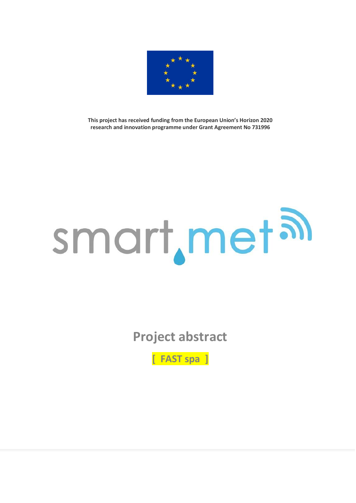

**This project has received funding from the European Union's Horizon 2020 research and innovation programme under Grant Agreement No 731996**

## smart, met al

**Project abstract**

**[ FAST spa ]**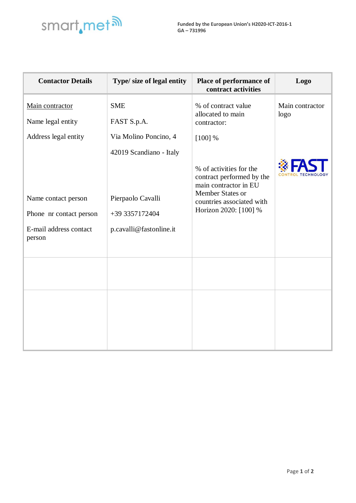

| <b>Contactor Details</b>                                                           | Type/ size of legal entity                                                                | Place of performance of<br>contract activities                                                                                                          | Logo                    |
|------------------------------------------------------------------------------------|-------------------------------------------------------------------------------------------|---------------------------------------------------------------------------------------------------------------------------------------------------------|-------------------------|
| Main contractor                                                                    | <b>SME</b>                                                                                | % of contract value<br>allocated to main                                                                                                                | Main contractor<br>logo |
| Name legal entity                                                                  | FAST S.p.A.                                                                               | contractor:                                                                                                                                             |                         |
| Address legal entity                                                               | Via Molino Poncino, 4                                                                     | $[100]$ %                                                                                                                                               |                         |
| Name contact person<br>Phone nr contact person<br>E-mail address contact<br>person | 42019 Scandiano - Italy<br>Pierpaolo Cavalli<br>+39 3357172404<br>p.cavalli@fastonline.it | % of activities for the<br>contract performed by the<br>main contractor in EU<br>Member States or<br>countries associated with<br>Horizon 2020: [100] % |                         |
|                                                                                    |                                                                                           |                                                                                                                                                         |                         |
|                                                                                    |                                                                                           |                                                                                                                                                         |                         |
|                                                                                    |                                                                                           |                                                                                                                                                         |                         |